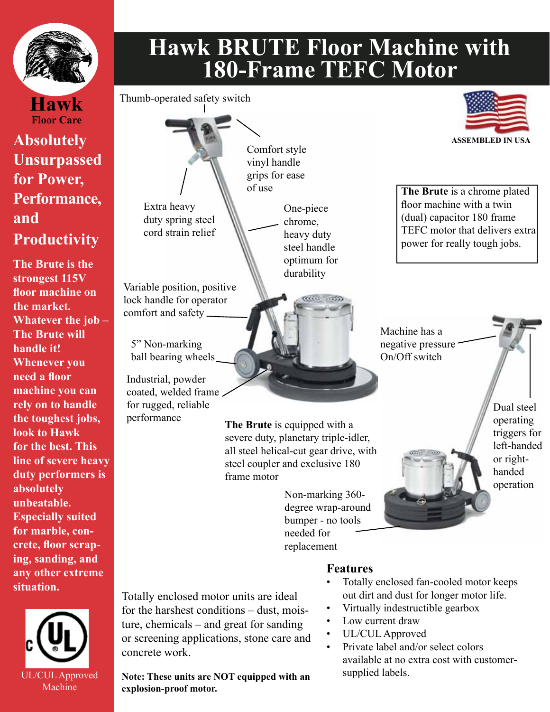

## **Hawk BRUTE Floor Machine with 180-Frame TEFC Motor**

**Hawk Floor Care**

## **Absolutely Unsurpassed for Power, Performance, and Productivity**

**The Brute is the strongest 115V floor machine on the market. Whatever the job – The Brute will handle it! Whenever you need a floor machine you can rely on to handle the toughest jobs, look to Hawk for the best. This line of severe heavy duty performers is absolutely unbeatable. Especially suited for marble, concrete, floor scraping, sanding, and any other extreme situation.**





Industrial, powder coated, welded frame for rugged, reliable performance

**The Brute** is equipped with a severe duty, planetary triple-idler, all steel helical-cut gear drive, with steel coupler and exclusive 180 frame motor

> Non-marking 360 degree wrap-around bumper - no tools needed for replacement

Totally enclosed motor units are ideal for the harshest conditions – dust, moisture, chemicals – and great for sanding or screening applications, stone care and concrete work.

UL/CUL Approved Note: These units are NOT equipped with an supplied labels. **explosion-proof motor.**

## **Features**

- Totally enclosed fan-cooled motor keeps out dirt and dust for longer motor life.
- Virtually indestructible gearbox
- Low current draw
- UL/CUL Approved
- Private label and/or select colors available at no extra cost with customer-



**The Brute** is a chrome plated floor machine with a twin (dual) capacitor 180 frame TEFC motor that delivers extra power for really tough jobs.

Machine has a negative pressure On/Off switch

> Dual steel operating triggers for left-handed or righthanded operation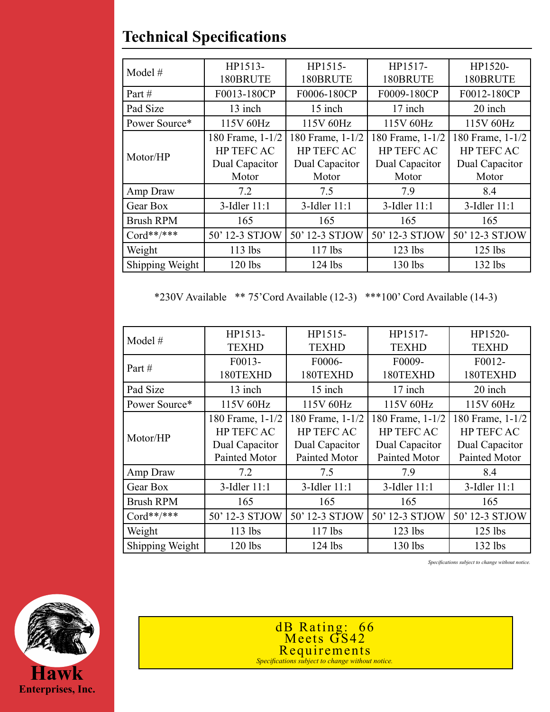| Model $#$        | HP1513-           | HP1515-           | HP1517-           | HP1520-           |
|------------------|-------------------|-------------------|-------------------|-------------------|
|                  | 180BRUTE          | 180BRUTE          | 180BRUTE          | 180BRUTE          |
| Part#            | F0013-180CP       | F0006-180CP       | F0009-180CP       | F0012-180CP       |
| Pad Size         | 13 inch           | 15 inch           | 17 inch           | 20 inch           |
| Power Source*    | 115V 60Hz         | 115V 60Hz         | 115V 60Hz         | 115V 60Hz         |
| Motor/HP         | 180 Frame, 1-1/2  | 180 Frame, 1-1/2  | 180 Frame, 1-1/2  | 180 Frame, 1-1/2  |
|                  | <b>HP TEFC AC</b> | <b>HP TEFC AC</b> | <b>HP TEFC AC</b> | <b>HP TEFC AC</b> |
|                  | Dual Capacitor    | Dual Capacitor    | Dual Capacitor    | Dual Capacitor    |
|                  | Motor             | Motor             | Motor             | Motor             |
| Amp Draw         | 7.2               | 7.5               | 7.9               | 8.4               |
| Gear Box         | 3-Idler 11:1      | 3-Idler 11:1      | 3-Idler 11:1      | 3-Idler 11:1      |
| <b>Brush RPM</b> | 165               | 165               | 165               | 165               |
| $Cord**/****$    | 50' 12-3 STJOW    | 50' 12-3 STJOW    | 50' 12-3 STJOW    | 50' 12-3 STJOW    |
| Weight           | $113$ lbs         | $117$ lbs         | $123$ lbs         | $125$ lbs         |
| Shipping Weight  | $120$ lbs         | $124$ lbs         | 130 lbs           | $132$ lbs         |

## **Technical Specifications**

\*230V Available \*\* 75'Cord Available (12-3) \*\*\*100' Cord Available (14-3)

| Model #          | HP1513-           | HP1515-          | HP1517-          | HP1520-           |
|------------------|-------------------|------------------|------------------|-------------------|
|                  | <b>TEXHD</b>      | <b>TEXHD</b>     | <b>TEXHD</b>     | <b>TEXHD</b>      |
| Part#            | F0013-            | F0006-           | F0009-           | F0012-            |
|                  | 180TEXHD          | 180TEXHD         | 180TEXHD         | 180TEXHD          |
| Pad Size         | 13 inch           | 15 inch          | 17 inch          | 20 inch           |
| Power Source*    | 115V 60Hz         | 115V 60Hz        | 115V 60Hz        | 115V 60Hz         |
| Motor/HP         | 180 Frame, 1-1/2  | 180 Frame, 1-1/2 | 180 Frame, 1-1/2 | 180 Frame, 1-1/2  |
|                  | <b>HP TEFC AC</b> | HP TEFC AC       | HP TEFC AC       | <b>HP TEFC AC</b> |
|                  | Dual Capacitor    | Dual Capacitor   | Dual Capacitor   | Dual Capacitor    |
|                  | Painted Motor     | Painted Motor    | Painted Motor    | Painted Motor     |
| Amp Draw         | 7.2               | 7.5              | 7.9              | 8.4               |
| Gear Box         | 3-Idler 11:1      | 3-Idler 11:1     | 3-Idler 11:1     | 3-Idler 11:1      |
| <b>Brush RPM</b> | 165               | 165              | 165              | 165               |
| $Cord**/****$    | 50' 12-3 STJOW    | 50' 12-3 STJOW   | 50' 12-3 STJOW   | 50' 12-3 STJOW    |
| Weight           | $113$ lbs         | $117$ lbs        | $123$ lbs        | $125$ lbs         |
| Shipping Weight  | $120$ lbs         | $124$ lbs        | $130$ lbs        | $132$ lbs         |

*Specifications subject to change without notice.*



dB Rating: 66 Meets GS42 Requirements *Specifications subject to change without notice.*